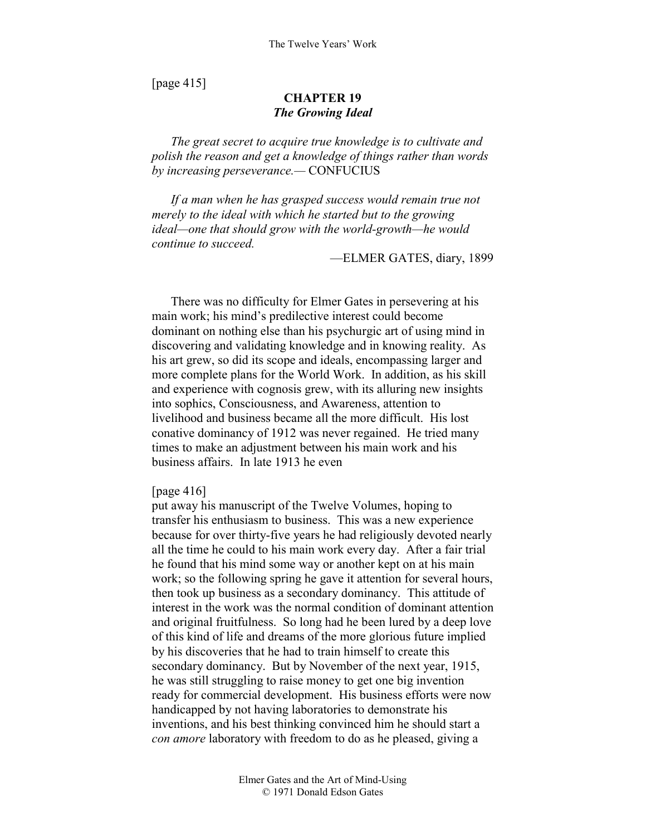[page 415]

# **CHAPTER 19**  *The Growing Ideal*

*The great secret to acquire true knowledge is to cultivate and polish the reason and get a knowledge of things rather than words by increasing perseverance.—* CONFUCIUS

*If a man when he has grasped success would remain true not merely to the ideal with which he started but to the growing ideal—one that should grow with the world-growth—he would continue to succeed.* 

—ELMER GATES, diary, 1899

There was no difficulty for Elmer Gates in persevering at his main work; his mind's predilective interest could become dominant on nothing else than his psychurgic art of using mind in discovering and validating knowledge and in knowing reality. As his art grew, so did its scope and ideals, encompassing larger and more complete plans for the World Work. In addition, as his skill and experience with cognosis grew, with its alluring new insights into sophics, Consciousness, and Awareness, attention to livelihood and business became all the more difficult. His lost conative dominancy of 1912 was never regained. He tried many times to make an adjustment between his main work and his business affairs. In late 1913 he even

#### [page 416]

put away his manuscript of the Twelve Volumes, hoping to transfer his enthusiasm to business. This was a new experience because for over thirty-five years he had religiously devoted nearly all the time he could to his main work every day. After a fair trial he found that his mind some way or another kept on at his main work; so the following spring he gave it attention for several hours, then took up business as a secondary dominancy. This attitude of interest in the work was the normal condition of dominant attention and original fruitfulness. So long had he been lured by a deep love of this kind of life and dreams of the more glorious future implied by his discoveries that he had to train himself to create this secondary dominancy. But by November of the next year, 1915, he was still struggling to raise money to get one big invention ready for commercial development. His business efforts were now handicapped by not having laboratories to demonstrate his inventions, and his best thinking convinced him he should start a *con amore* laboratory with freedom to do as he pleased, giving a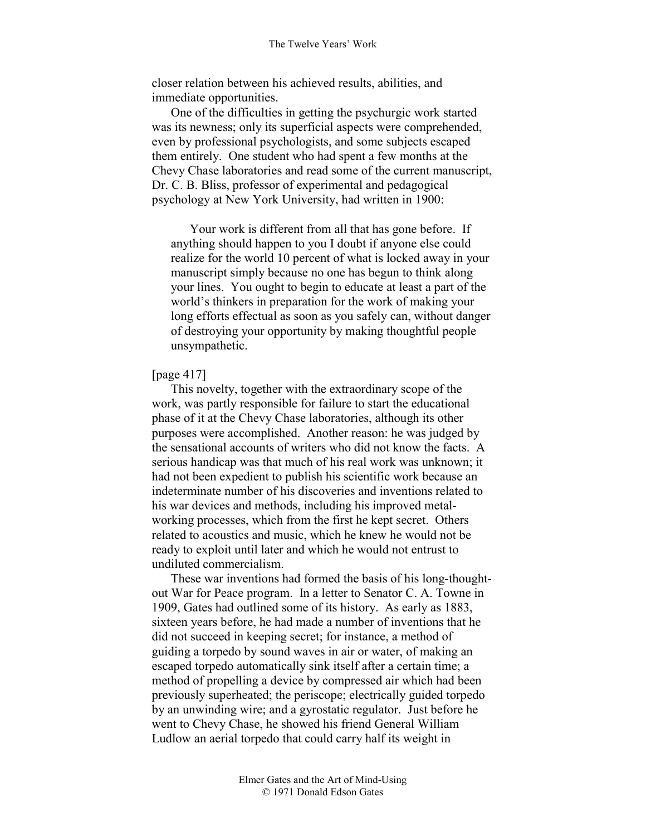closer relation between his achieved results, abilities, and immediate opportunities.

One of the difficulties in getting the psychurgic work started was its newness; only its superficial aspects were comprehended, even by professional psychologists, and some subjects escaped them entirely. One student who had spent a few months at the Chevy Chase laboratories and read some of the current manuscript, Dr. C. B. Bliss, professor of experimental and pedagogical psychology at New York University, had written in 1900:

Your work is different from all that has gone before. If anything should happen to you I doubt if anyone else could realize for the world 10 percent of what is locked away in your manuscript simply because no one has begun to think along your lines. You ought to begin to educate at least a part of the world's thinkers in preparation for the work of making your long efforts effectual as soon as you safely can, without danger of destroying your opportunity by making thoughtful people unsympathetic.

### [page 417]

This novelty, together with the extraordinary scope of the work, was partly responsible for failure to start the educational phase of it at the Chevy Chase laboratories, although its other purposes were accomplished. Another reason: he was judged by the sensational accounts of writers who did not know the facts. A serious handicap was that much of his real work was unknown; it had not been expedient to publish his scientific work because an indeterminate number of his discoveries and inventions related to his war devices and methods, including his improved metalworking processes, which from the first he kept secret. Others related to acoustics and music, which he knew he would not be ready to exploit until later and which he would not entrust to undiluted commercialism.

These war inventions had formed the basis of his long-thoughtout War for Peace program. In a letter to Senator C. A. Towne in 1909, Gates had outlined some of its history. As early as 1883, sixteen years before, he had made a number of inventions that he did not succeed in keeping secret; for instance, a method of guiding a torpedo by sound waves in air or water, of making an escaped torpedo automatically sink itself after a certain time; a method of propelling a device by compressed air which had been previously superheated; the periscope; electrically guided torpedo by an unwinding wire; and a gyrostatic regulator. Just before he went to Chevy Chase, he showed his friend General William Ludlow an aerial torpedo that could carry half its weight in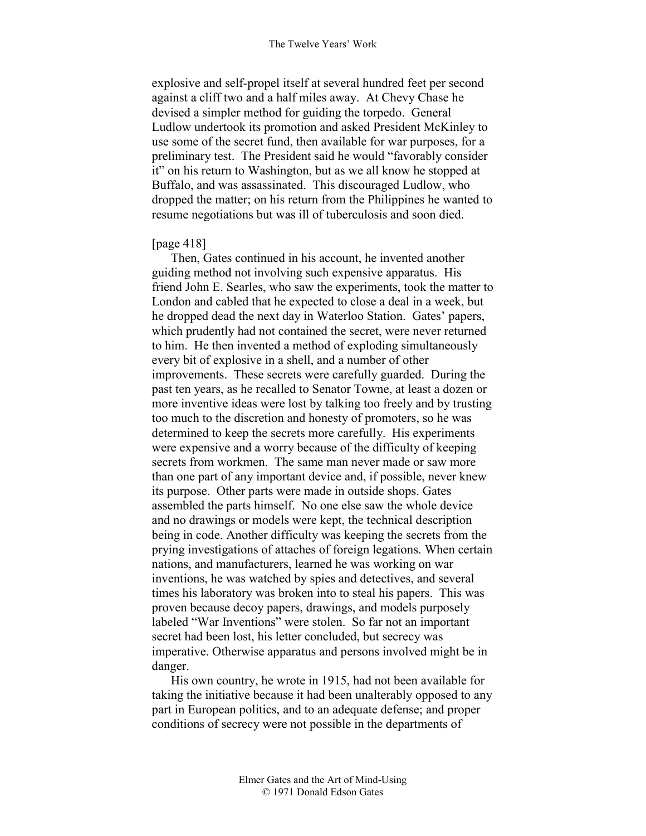explosive and self-propel itself at several hundred feet per second against a cliff two and a half miles away. At Chevy Chase he devised a simpler method for guiding the torpedo. General Ludlow undertook its promotion and asked President McKinley to use some of the secret fund, then available for war purposes, for a preliminary test. The President said he would "favorably consider it" on his return to Washington, but as we all know he stopped at Buffalo, and was assassinated. This discouraged Ludlow, who dropped the matter; on his return from the Philippines he wanted to resume negotiations but was ill of tuberculosis and soon died.

### [page 418]

Then, Gates continued in his account, he invented another guiding method not involving such expensive apparatus. His friend John E. Searles, who saw the experiments, took the matter to London and cabled that he expected to close a deal in a week, but he dropped dead the next day in Waterloo Station. Gates' papers, which prudently had not contained the secret, were never returned to him. He then invented a method of exploding simultaneously every bit of explosive in a shell, and a number of other improvements. These secrets were carefully guarded. During the past ten years, as he recalled to Senator Towne, at least a dozen or more inventive ideas were lost by talking too freely and by trusting too much to the discretion and honesty of promoters, so he was determined to keep the secrets more carefully. His experiments were expensive and a worry because of the difficulty of keeping secrets from workmen. The same man never made or saw more than one part of any important device and, if possible, never knew its purpose. Other parts were made in outside shops. Gates assembled the parts himself. No one else saw the whole device and no drawings or models were kept, the technical description being in code. Another difficulty was keeping the secrets from the prying investigations of attaches of foreign legations. When certain nations, and manufacturers, learned he was working on war inventions, he was watched by spies and detectives, and several times his laboratory was broken into to steal his papers. This was proven because decoy papers, drawings, and models purposely labeled "War Inventions" were stolen. So far not an important secret had been lost, his letter concluded, but secrecy was imperative. Otherwise apparatus and persons involved might be in danger.

His own country, he wrote in 1915, had not been available for taking the initiative because it had been unalterably opposed to any part in European politics, and to an adequate defense; and proper conditions of secrecy were not possible in the departments of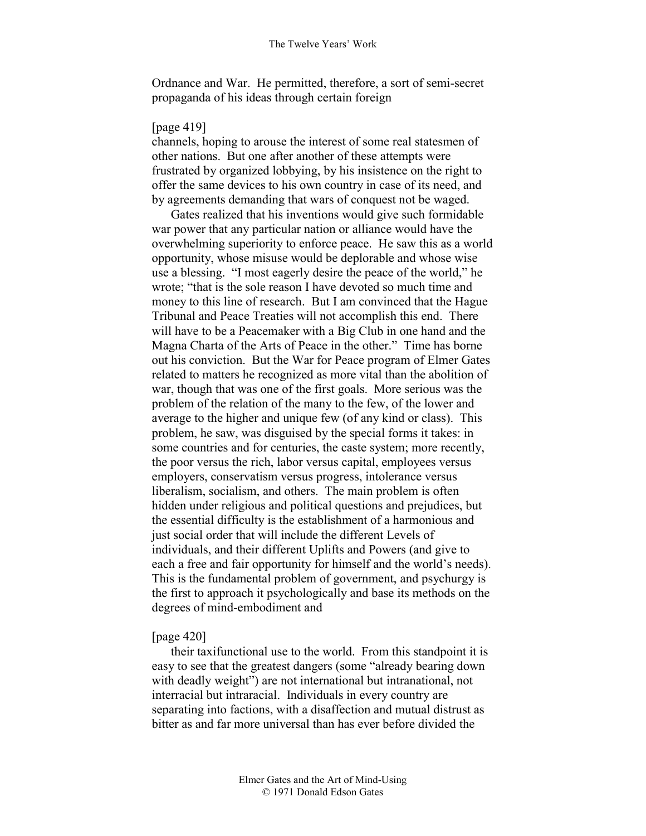Ordnance and War. He permitted, therefore, a sort of semi-secret propaganda of his ideas through certain foreign

### [page 419]

channels, hoping to arouse the interest of some real statesmen of other nations. But one after another of these attempts were frustrated by organized lobbying, by his insistence on the right to offer the same devices to his own country in case of its need, and by agreements demanding that wars of conquest not be waged.

Gates realized that his inventions would give such formidable war power that any particular nation or alliance would have the overwhelming superiority to enforce peace. He saw this as a world opportunity, whose misuse would be deplorable and whose wise use a blessing. "I most eagerly desire the peace of the world," he wrote; "that is the sole reason I have devoted so much time and money to this line of research. But I am convinced that the Hague Tribunal and Peace Treaties will not accomplish this end. There will have to be a Peacemaker with a Big Club in one hand and the Magna Charta of the Arts of Peace in the other." Time has borne out his conviction. But the War for Peace program of Elmer Gates related to matters he recognized as more vital than the abolition of war, though that was one of the first goals. More serious was the problem of the relation of the many to the few, of the lower and average to the higher and unique few (of any kind or class). This problem, he saw, was disguised by the special forms it takes: in some countries and for centuries, the caste system; more recently, the poor versus the rich, labor versus capital, employees versus employers, conservatism versus progress, intolerance versus liberalism, socialism, and others. The main problem is often hidden under religious and political questions and prejudices, but the essential difficulty is the establishment of a harmonious and just social order that will include the different Levels of individuals, and their different Uplifts and Powers (and give to each a free and fair opportunity for himself and the world's needs). This is the fundamental problem of government, and psychurgy is the first to approach it psychologically and base its methods on the degrees of mind-embodiment and

#### [page 420]

their taxifunctional use to the world. From this standpoint it is easy to see that the greatest dangers (some "already bearing down with deadly weight") are not international but intranational, not interracial but intraracial. Individuals in every country are separating into factions, with a disaffection and mutual distrust as bitter as and far more universal than has ever before divided the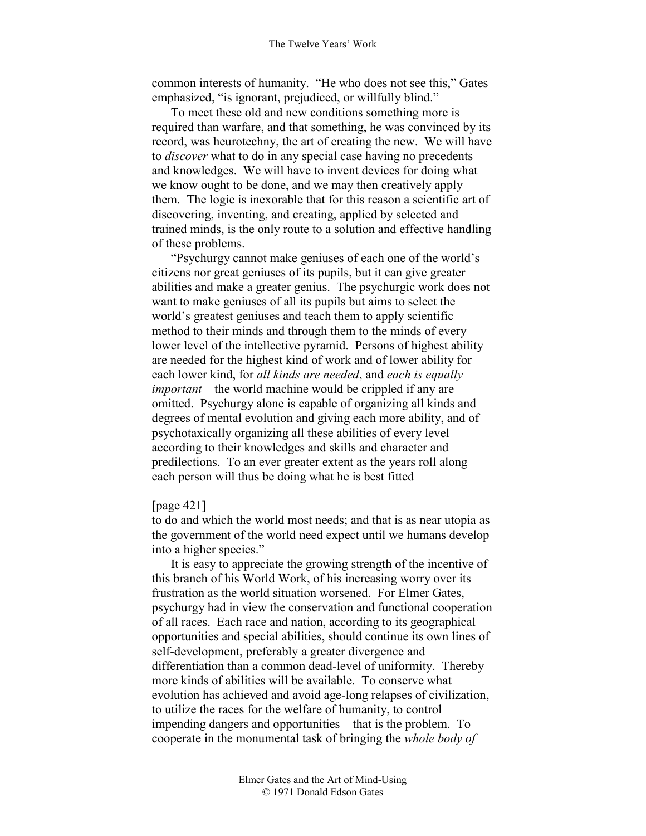common interests of humanity. "He who does not see this," Gates emphasized, "is ignorant, prejudiced, or willfully blind."

To meet these old and new conditions something more is required than warfare, and that something, he was convinced by its record, was heurotechny, the art of creating the new. We will have to *discover* what to do in any special case having no precedents and knowledges. We will have to invent devices for doing what we know ought to be done, and we may then creatively apply them. The logic is inexorable that for this reason a scientific art of discovering, inventing, and creating, applied by selected and trained minds, is the only route to a solution and effective handling of these problems.

"Psychurgy cannot make geniuses of each one of the world's citizens nor great geniuses of its pupils, but it can give greater abilities and make a greater genius. The psychurgic work does not want to make geniuses of all its pupils but aims to select the world's greatest geniuses and teach them to apply scientific method to their minds and through them to the minds of every lower level of the intellective pyramid. Persons of highest ability are needed for the highest kind of work and of lower ability for each lower kind, for *all kinds are needed*, and *each is equally important*—the world machine would be crippled if any are omitted. Psychurgy alone is capable of organizing all kinds and degrees of mental evolution and giving each more ability, and of psychotaxically organizing all these abilities of every level according to their knowledges and skills and character and predilections. To an ever greater extent as the years roll along each person will thus be doing what he is best fitted

### [page 421]

to do and which the world most needs; and that is as near utopia as the government of the world need expect until we humans develop into a higher species."

It is easy to appreciate the growing strength of the incentive of this branch of his World Work, of his increasing worry over its frustration as the world situation worsened. For Elmer Gates, psychurgy had in view the conservation and functional cooperation of all races. Each race and nation, according to its geographical opportunities and special abilities, should continue its own lines of self-development, preferably a greater divergence and differentiation than a common dead-level of uniformity. Thereby more kinds of abilities will be available. To conserve what evolution has achieved and avoid age-long relapses of civilization, to utilize the races for the welfare of humanity, to control impending dangers and opportunities—that is the problem. To cooperate in the monumental task of bringing the *whole body of*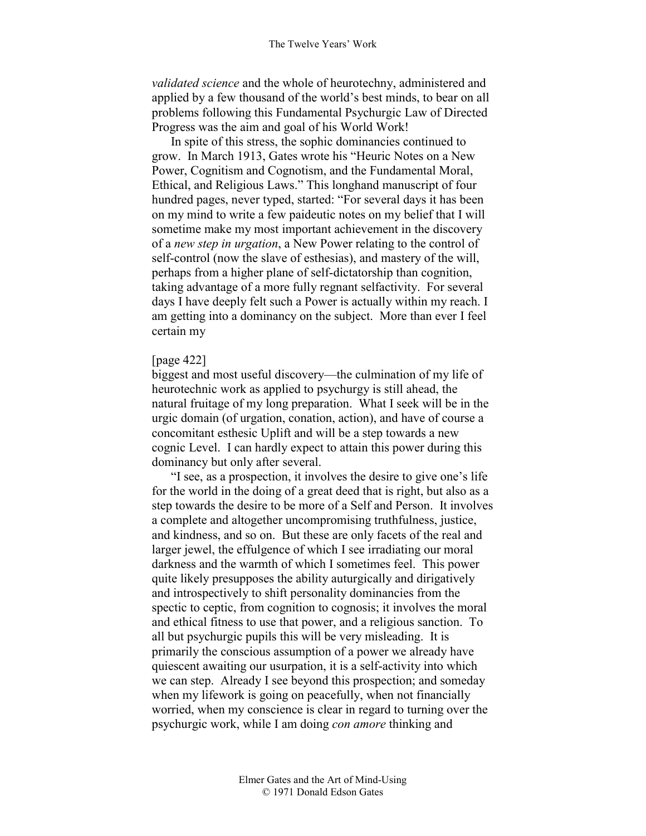*validated science* and the whole of heurotechny, administered and applied by a few thousand of the world's best minds, to bear on all problems following this Fundamental Psychurgic Law of Directed Progress was the aim and goal of his World Work!

In spite of this stress, the sophic dominancies continued to grow. In March 1913, Gates wrote his "Heuric Notes on a New Power, Cognitism and Cognotism, and the Fundamental Moral, Ethical, and Religious Laws." This longhand manuscript of four hundred pages, never typed, started: "For several days it has been on my mind to write a few paideutic notes on my belief that I will sometime make my most important achievement in the discovery of a *new step in urgation*, a New Power relating to the control of self-control (now the slave of esthesias), and mastery of the will, perhaps from a higher plane of self-dictatorship than cognition, taking advantage of a more fully regnant selfactivity. For several days I have deeply felt such a Power is actually within my reach. I am getting into a dominancy on the subject. More than ever I feel certain my

### [page 422]

biggest and most useful discovery—the culmination of my life of heurotechnic work as applied to psychurgy is still ahead, the natural fruitage of my long preparation. What I seek will be in the urgic domain (of urgation, conation, action), and have of course a concomitant esthesic Uplift and will be a step towards a new cognic Level. I can hardly expect to attain this power during this dominancy but only after several.

"I see, as a prospection, it involves the desire to give one's life for the world in the doing of a great deed that is right, but also as a step towards the desire to be more of a Self and Person. It involves a complete and altogether uncompromising truthfulness, justice, and kindness, and so on. But these are only facets of the real and larger jewel, the effulgence of which I see irradiating our moral darkness and the warmth of which I sometimes feel. This power quite likely presupposes the ability auturgically and dirigatively and introspectively to shift personality dominancies from the spectic to ceptic, from cognition to cognosis; it involves the moral and ethical fitness to use that power, and a religious sanction. To all but psychurgic pupils this will be very misleading. It is primarily the conscious assumption of a power we already have quiescent awaiting our usurpation, it is a self-activity into which we can step. Already I see beyond this prospection; and someday when my lifework is going on peacefully, when not financially worried, when my conscience is clear in regard to turning over the psychurgic work, while I am doing *con amore* thinking and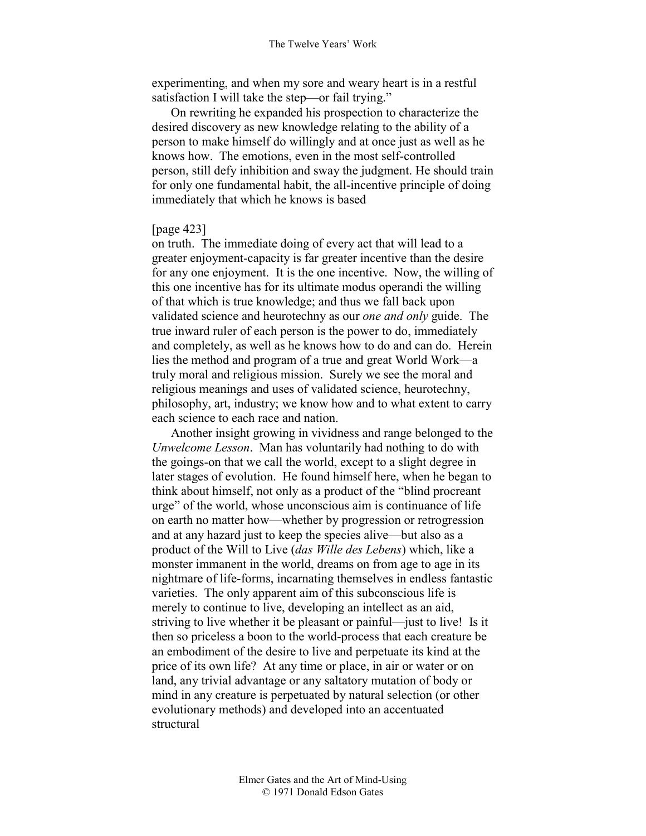experimenting, and when my sore and weary heart is in a restful satisfaction I will take the step—or fail trying."

On rewriting he expanded his prospection to characterize the desired discovery as new knowledge relating to the ability of a person to make himself do willingly and at once just as well as he knows how. The emotions, even in the most self-controlled person, still defy inhibition and sway the judgment. He should train for only one fundamental habit, the all-incentive principle of doing immediately that which he knows is based

### [page 423]

on truth. The immediate doing of every act that will lead to a greater enjoyment-capacity is far greater incentive than the desire for any one enjoyment. It is the one incentive. Now, the willing of this one incentive has for its ultimate modus operandi the willing of that which is true knowledge; and thus we fall back upon validated science and heurotechny as our *one and only* guide. The true inward ruler of each person is the power to do, immediately and completely, as well as he knows how to do and can do. Herein lies the method and program of a true and great World Work—a truly moral and religious mission. Surely we see the moral and religious meanings and uses of validated science, heurotechny, philosophy, art, industry; we know how and to what extent to carry each science to each race and nation.

Another insight growing in vividness and range belonged to the *Unwelcome Lesson*. Man has voluntarily had nothing to do with the goings-on that we call the world, except to a slight degree in later stages of evolution. He found himself here, when he began to think about himself, not only as a product of the "blind procreant urge" of the world, whose unconscious aim is continuance of life on earth no matter how—whether by progression or retrogression and at any hazard just to keep the species alive—but also as a product of the Will to Live (*das Wille des Lebens*) which, like a monster immanent in the world, dreams on from age to age in its nightmare of life-forms, incarnating themselves in endless fantastic varieties. The only apparent aim of this subconscious life is merely to continue to live, developing an intellect as an aid, striving to live whether it be pleasant or painful—just to live! Is it then so priceless a boon to the world-process that each creature be an embodiment of the desire to live and perpetuate its kind at the price of its own life? At any time or place, in air or water or on land, any trivial advantage or any saltatory mutation of body or mind in any creature is perpetuated by natural selection (or other evolutionary methods) and developed into an accentuated structural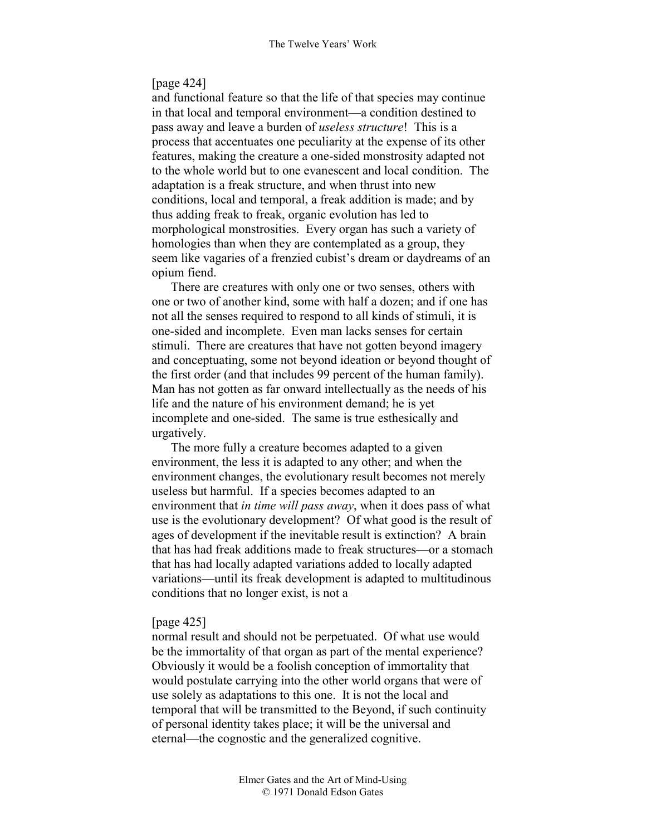### [page 424]

and functional feature so that the life of that species may continue in that local and temporal environment—a condition destined to pass away and leave a burden of *useless structure*! This is a process that accentuates one peculiarity at the expense of its other features, making the creature a one-sided monstrosity adapted not to the whole world but to one evanescent and local condition. The adaptation is a freak structure, and when thrust into new conditions, local and temporal, a freak addition is made; and by thus adding freak to freak, organic evolution has led to morphological monstrosities. Every organ has such a variety of homologies than when they are contemplated as a group, they seem like vagaries of a frenzied cubist's dream or daydreams of an opium fiend.

There are creatures with only one or two senses, others with one or two of another kind, some with half a dozen; and if one has not all the senses required to respond to all kinds of stimuli, it is one-sided and incomplete. Even man lacks senses for certain stimuli. There are creatures that have not gotten beyond imagery and conceptuating, some not beyond ideation or beyond thought of the first order (and that includes 99 percent of the human family). Man has not gotten as far onward intellectually as the needs of his life and the nature of his environment demand; he is yet incomplete and one-sided. The same is true esthesically and urgatively.

The more fully a creature becomes adapted to a given environment, the less it is adapted to any other; and when the environment changes, the evolutionary result becomes not merely useless but harmful. If a species becomes adapted to an environment that *in time will pass away*, when it does pass of what use is the evolutionary development? Of what good is the result of ages of development if the inevitable result is extinction? A brain that has had freak additions made to freak structures—or a stomach that has had locally adapted variations added to locally adapted variations—until its freak development is adapted to multitudinous conditions that no longer exist, is not a

### [page 425]

normal result and should not be perpetuated. Of what use would be the immortality of that organ as part of the mental experience? Obviously it would be a foolish conception of immortality that would postulate carrying into the other world organs that were of use solely as adaptations to this one. It is not the local and temporal that will be transmitted to the Beyond, if such continuity of personal identity takes place; it will be the universal and eternal—the cognostic and the generalized cognitive.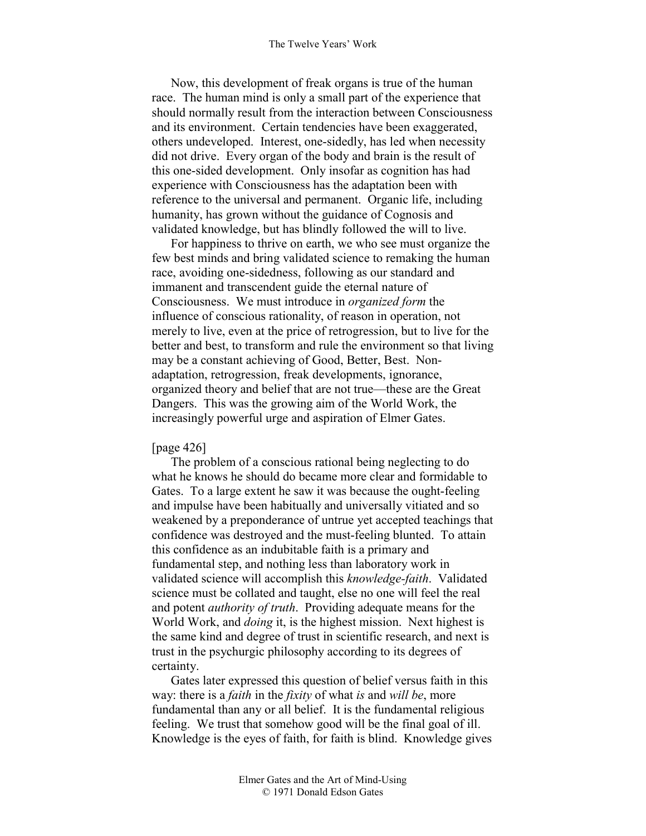#### The Twelve Years' Work

Now, this development of freak organs is true of the human race. The human mind is only a small part of the experience that should normally result from the interaction between Consciousness and its environment. Certain tendencies have been exaggerated, others undeveloped. Interest, one-sidedly, has led when necessity did not drive. Every organ of the body and brain is the result of this one-sided development. Only insofar as cognition has had experience with Consciousness has the adaptation been with reference to the universal and permanent. Organic life, including humanity, has grown without the guidance of Cognosis and validated knowledge, but has blindly followed the will to live.

For happiness to thrive on earth, we who see must organize the few best minds and bring validated science to remaking the human race, avoiding one-sidedness, following as our standard and immanent and transcendent guide the eternal nature of Consciousness. We must introduce in *organized form* the influence of conscious rationality, of reason in operation, not merely to live, even at the price of retrogression, but to live for the better and best, to transform and rule the environment so that living may be a constant achieving of Good, Better, Best. Nonadaptation, retrogression, freak developments, ignorance, organized theory and belief that are not true—these are the Great Dangers. This was the growing aim of the World Work, the increasingly powerful urge and aspiration of Elmer Gates.

### [page 426]

The problem of a conscious rational being neglecting to do what he knows he should do became more clear and formidable to Gates. To a large extent he saw it was because the ought-feeling and impulse have been habitually and universally vitiated and so weakened by a preponderance of untrue yet accepted teachings that confidence was destroyed and the must-feeling blunted. To attain this confidence as an indubitable faith is a primary and fundamental step, and nothing less than laboratory work in validated science will accomplish this *knowledge-faith*. Validated science must be collated and taught, else no one will feel the real and potent *authority of truth*. Providing adequate means for the World Work, and *doing* it, is the highest mission. Next highest is the same kind and degree of trust in scientific research, and next is trust in the psychurgic philosophy according to its degrees of certainty.

Gates later expressed this question of belief versus faith in this way: there is a *faith* in the *fixity* of what *is* and *will be*, more fundamental than any or all belief. It is the fundamental religious feeling. We trust that somehow good will be the final goal of ill. Knowledge is the eyes of faith, for faith is blind. Knowledge gives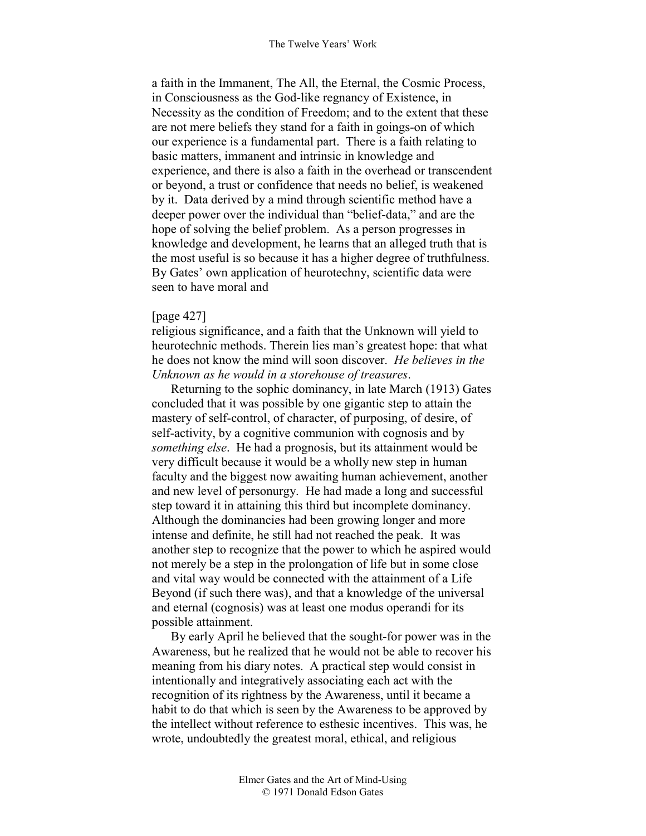a faith in the Immanent, The All, the Eternal, the Cosmic Process, in Consciousness as the God-like regnancy of Existence, in Necessity as the condition of Freedom; and to the extent that these are not mere beliefs they stand for a faith in goings-on of which our experience is a fundamental part. There is a faith relating to basic matters, immanent and intrinsic in knowledge and experience, and there is also a faith in the overhead or transcendent or beyond, a trust or confidence that needs no belief, is weakened by it. Data derived by a mind through scientific method have a deeper power over the individual than "belief-data," and are the hope of solving the belief problem. As a person progresses in knowledge and development, he learns that an alleged truth that is the most useful is so because it has a higher degree of truthfulness. By Gates' own application of heurotechny, scientific data were seen to have moral and

### [page 427]

religious significance, and a faith that the Unknown will yield to heurotechnic methods. Therein lies man's greatest hope: that what he does not know the mind will soon discover. *He believes in the Unknown as he would in a storehouse of treasures*.

Returning to the sophic dominancy, in late March (1913) Gates concluded that it was possible by one gigantic step to attain the mastery of self-control, of character, of purposing, of desire, of self-activity, by a cognitive communion with cognosis and by *something else*. He had a prognosis, but its attainment would be very difficult because it would be a wholly new step in human faculty and the biggest now awaiting human achievement, another and new level of personurgy. He had made a long and successful step toward it in attaining this third but incomplete dominancy. Although the dominancies had been growing longer and more intense and definite, he still had not reached the peak. It was another step to recognize that the power to which he aspired would not merely be a step in the prolongation of life but in some close and vital way would be connected with the attainment of a Life Beyond (if such there was), and that a knowledge of the universal and eternal (cognosis) was at least one modus operandi for its possible attainment.

By early April he believed that the sought-for power was in the Awareness, but he realized that he would not be able to recover his meaning from his diary notes. A practical step would consist in intentionally and integratively associating each act with the recognition of its rightness by the Awareness, until it became a habit to do that which is seen by the Awareness to be approved by the intellect without reference to esthesic incentives. This was, he wrote, undoubtedly the greatest moral, ethical, and religious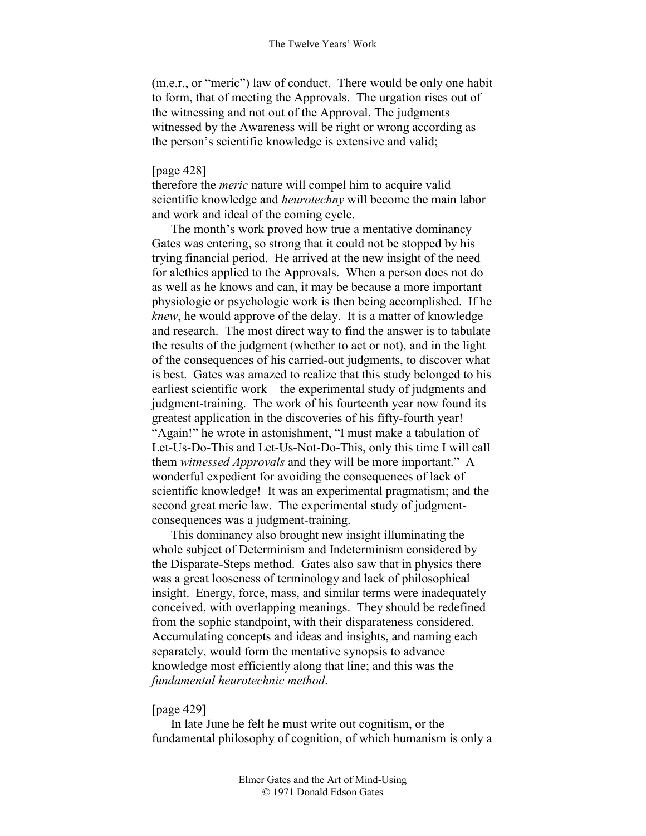(m.e.r., or "meric") law of conduct. There would be only one habit to form, that of meeting the Approvals. The urgation rises out of the witnessing and not out of the Approval. The judgments witnessed by the Awareness will be right or wrong according as the person's scientific knowledge is extensive and valid;

### [page 428]

therefore the *meric* nature will compel him to acquire valid scientific knowledge and *heurotechny* will become the main labor and work and ideal of the coming cycle.

The month's work proved how true a mentative dominancy Gates was entering, so strong that it could not be stopped by his trying financial period. He arrived at the new insight of the need for alethics applied to the Approvals. When a person does not do as well as he knows and can, it may be because a more important physiologic or psychologic work is then being accomplished. If he *knew*, he would approve of the delay. It is a matter of knowledge and research. The most direct way to find the answer is to tabulate the results of the judgment (whether to act or not), and in the light of the consequences of his carried-out judgments, to discover what is best. Gates was amazed to realize that this study belonged to his earliest scientific work—the experimental study of judgments and judgment-training. The work of his fourteenth year now found its greatest application in the discoveries of his fifty-fourth year! "Again!" he wrote in astonishment, "I must make a tabulation of Let-Us-Do-This and Let-Us-Not-Do-This, only this time I will call them *witnessed Approvals* and they will be more important." A wonderful expedient for avoiding the consequences of lack of scientific knowledge! It was an experimental pragmatism; and the second great meric law. The experimental study of judgmentconsequences was a judgment-training.

This dominancy also brought new insight illuminating the whole subject of Determinism and Indeterminism considered by the Disparate-Steps method. Gates also saw that in physics there was a great looseness of terminology and lack of philosophical insight. Energy, force, mass, and similar terms were inadequately conceived, with overlapping meanings. They should be redefined from the sophic standpoint, with their disparateness considered. Accumulating concepts and ideas and insights, and naming each separately, would form the mentative synopsis to advance knowledge most efficiently along that line; and this was the *fundamental heurotechnic method*.

### [page 429]

In late June he felt he must write out cognitism, or the fundamental philosophy of cognition, of which humanism is only a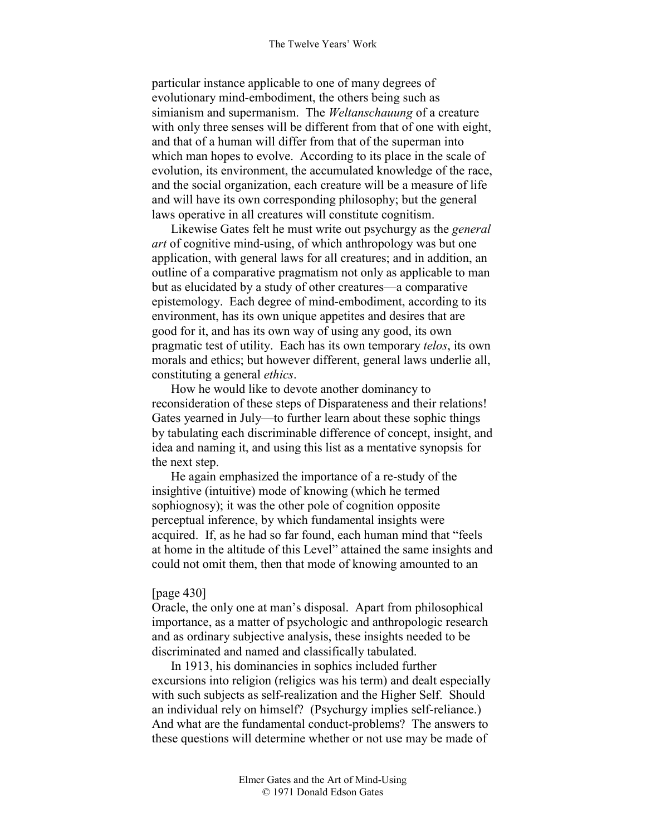particular instance applicable to one of many degrees of evolutionary mind-embodiment, the others being such as simianism and supermanism. The *Weltanschauung* of a creature with only three senses will be different from that of one with eight, and that of a human will differ from that of the superman into which man hopes to evolve. According to its place in the scale of evolution, its environment, the accumulated knowledge of the race, and the social organization, each creature will be a measure of life and will have its own corresponding philosophy; but the general laws operative in all creatures will constitute cognitism.

Likewise Gates felt he must write out psychurgy as the *general art* of cognitive mind-using, of which anthropology was but one application, with general laws for all creatures; and in addition, an outline of a comparative pragmatism not only as applicable to man but as elucidated by a study of other creatures—a comparative epistemology. Each degree of mind-embodiment, according to its environment, has its own unique appetites and desires that are good for it, and has its own way of using any good, its own pragmatic test of utility. Each has its own temporary *telos*, its own morals and ethics; but however different, general laws underlie all, constituting a general *ethics*.

How he would like to devote another dominancy to reconsideration of these steps of Disparateness and their relations! Gates yearned in July—to further learn about these sophic things by tabulating each discriminable difference of concept, insight, and idea and naming it, and using this list as a mentative synopsis for the next step.

He again emphasized the importance of a re-study of the insightive (intuitive) mode of knowing (which he termed sophiognosy); it was the other pole of cognition opposite perceptual inference, by which fundamental insights were acquired. If, as he had so far found, each human mind that "feels at home in the altitude of this Level" attained the same insights and could not omit them, then that mode of knowing amounted to an

#### [page 430]

Oracle, the only one at man's disposal. Apart from philosophical importance, as a matter of psychologic and anthropologic research and as ordinary subjective analysis, these insights needed to be discriminated and named and classifically tabulated.

In 1913, his dominancies in sophics included further excursions into religion (religics was his term) and dealt especially with such subjects as self-realization and the Higher Self. Should an individual rely on himself? (Psychurgy implies self-reliance.) And what are the fundamental conduct-problems? The answers to these questions will determine whether or not use may be made of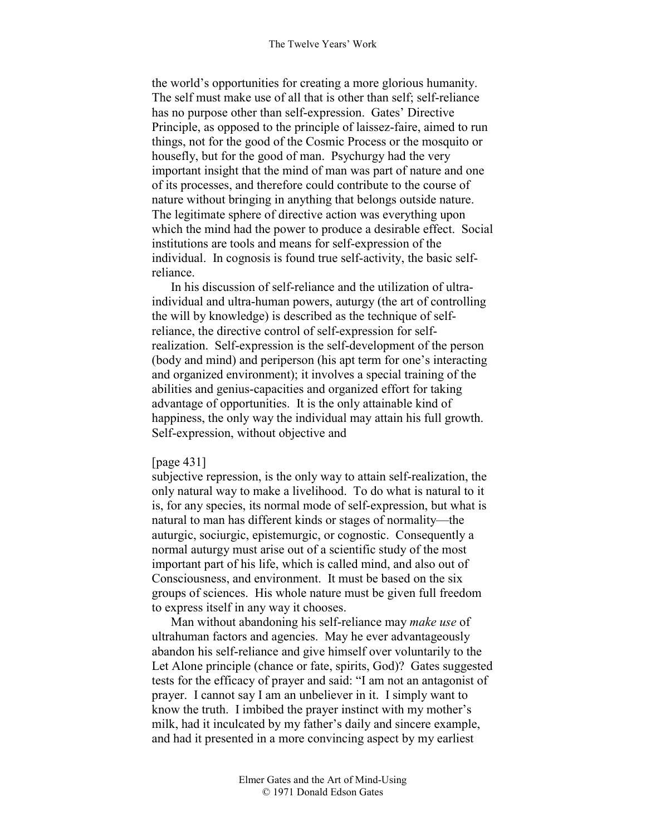the world's opportunities for creating a more glorious humanity. The self must make use of all that is other than self; self-reliance has no purpose other than self-expression. Gates' Directive Principle, as opposed to the principle of laissez-faire, aimed to run things, not for the good of the Cosmic Process or the mosquito or housefly, but for the good of man. Psychurgy had the very important insight that the mind of man was part of nature and one of its processes, and therefore could contribute to the course of nature without bringing in anything that belongs outside nature. The legitimate sphere of directive action was everything upon which the mind had the power to produce a desirable effect. Social institutions are tools and means for self-expression of the individual. In cognosis is found true self-activity, the basic selfreliance.

In his discussion of self-reliance and the utilization of ultraindividual and ultra-human powers, auturgy (the art of controlling the will by knowledge) is described as the technique of selfreliance, the directive control of self-expression for selfrealization. Self-expression is the self-development of the person (body and mind) and periperson (his apt term for one's interacting and organized environment); it involves a special training of the abilities and genius-capacities and organized effort for taking advantage of opportunities. It is the only attainable kind of happiness, the only way the individual may attain his full growth. Self-expression, without objective and

#### [page 431]

subjective repression, is the only way to attain self-realization, the only natural way to make a livelihood. To do what is natural to it is, for any species, its normal mode of self-expression, but what is natural to man has different kinds or stages of normality—the auturgic, sociurgic, epistemurgic, or cognostic. Consequently a normal auturgy must arise out of a scientific study of the most important part of his life, which is called mind, and also out of Consciousness, and environment. It must be based on the six groups of sciences. His whole nature must be given full freedom to express itself in any way it chooses.

Man without abandoning his self-reliance may *make use* of ultrahuman factors and agencies. May he ever advantageously abandon his self-reliance and give himself over voluntarily to the Let Alone principle (chance or fate, spirits, God)? Gates suggested tests for the efficacy of prayer and said: "I am not an antagonist of prayer. I cannot say I am an unbeliever in it. I simply want to know the truth. I imbibed the prayer instinct with my mother's milk, had it inculcated by my father's daily and sincere example, and had it presented in a more convincing aspect by my earliest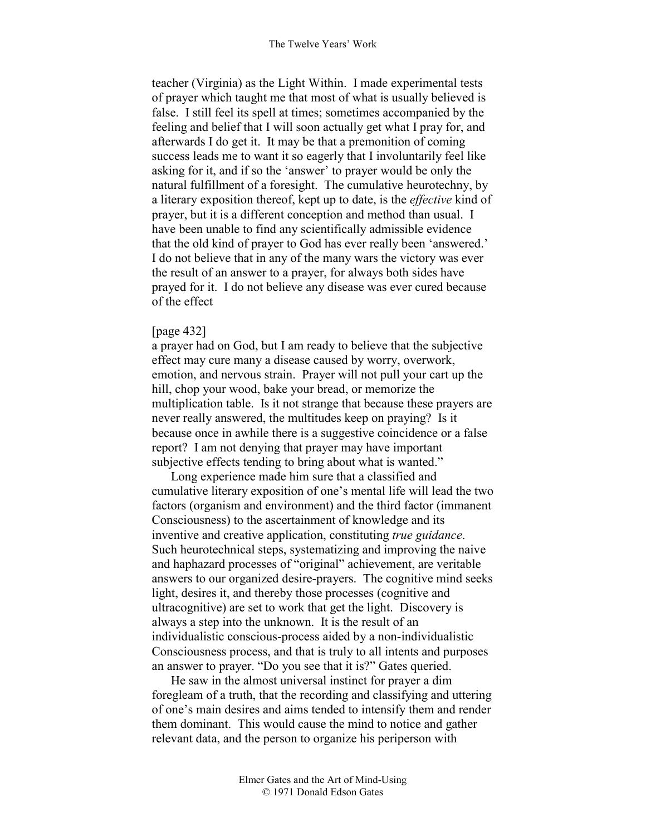teacher (Virginia) as the Light Within. I made experimental tests of prayer which taught me that most of what is usually believed is false. I still feel its spell at times; sometimes accompanied by the feeling and belief that I will soon actually get what I pray for, and afterwards I do get it. It may be that a premonition of coming success leads me to want it so eagerly that I involuntarily feel like asking for it, and if so the 'answer' to prayer would be only the natural fulfillment of a foresight. The cumulative heurotechny, by a literary exposition thereof, kept up to date, is the *effective* kind of prayer, but it is a different conception and method than usual. I have been unable to find any scientifically admissible evidence that the old kind of prayer to God has ever really been 'answered.' I do not believe that in any of the many wars the victory was ever the result of an answer to a prayer, for always both sides have prayed for it. I do not believe any disease was ever cured because of the effect

### [page 432]

a prayer had on God, but I am ready to believe that the subjective effect may cure many a disease caused by worry, overwork, emotion, and nervous strain. Prayer will not pull your cart up the hill, chop your wood, bake your bread, or memorize the multiplication table. Is it not strange that because these prayers are never really answered, the multitudes keep on praying? Is it because once in awhile there is a suggestive coincidence or a false report? I am not denying that prayer may have important subjective effects tending to bring about what is wanted."

Long experience made him sure that a classified and cumulative literary exposition of one's mental life will lead the two factors (organism and environment) and the third factor (immanent Consciousness) to the ascertainment of knowledge and its inventive and creative application, constituting *true guidance*. Such heurotechnical steps, systematizing and improving the naive and haphazard processes of "original" achievement, are veritable answers to our organized desire-prayers. The cognitive mind seeks light, desires it, and thereby those processes (cognitive and ultracognitive) are set to work that get the light. Discovery is always a step into the unknown. It is the result of an individualistic conscious-process aided by a non-individualistic Consciousness process, and that is truly to all intents and purposes an answer to prayer. "Do you see that it is?" Gates queried.

He saw in the almost universal instinct for prayer a dim foregleam of a truth, that the recording and classifying and uttering of one's main desires and aims tended to intensify them and render them dominant. This would cause the mind to notice and gather relevant data, and the person to organize his periperson with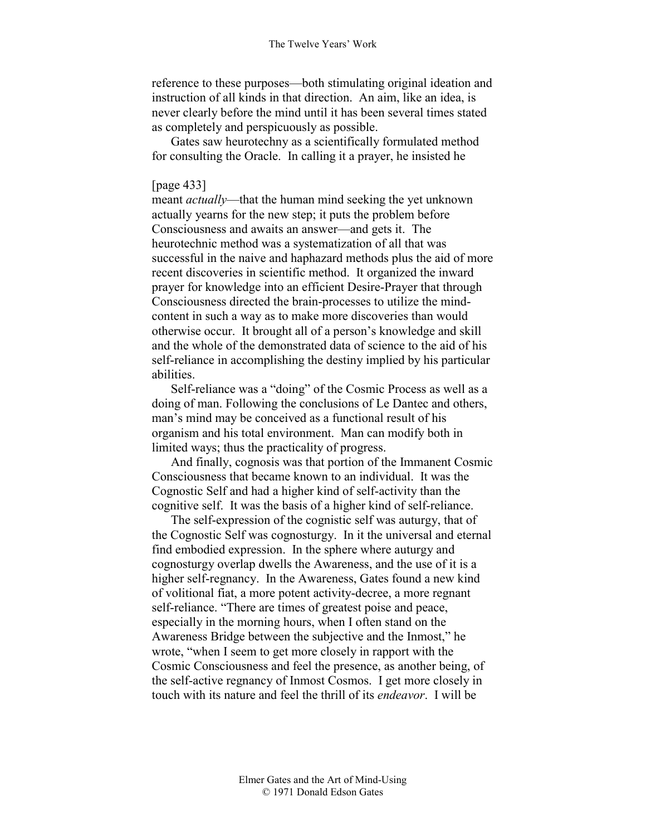reference to these purposes—both stimulating original ideation and instruction of all kinds in that direction. An aim, like an idea, is never clearly before the mind until it has been several times stated as completely and perspicuously as possible.

Gates saw heurotechny as a scientifically formulated method for consulting the Oracle. In calling it a prayer, he insisted he

### [page 433]

meant *actually*—that the human mind seeking the yet unknown actually yearns for the new step; it puts the problem before Consciousness and awaits an answer—and gets it. The heurotechnic method was a systematization of all that was successful in the naive and haphazard methods plus the aid of more recent discoveries in scientific method. It organized the inward prayer for knowledge into an efficient Desire-Prayer that through Consciousness directed the brain-processes to utilize the mindcontent in such a way as to make more discoveries than would otherwise occur. It brought all of a person's knowledge and skill and the whole of the demonstrated data of science to the aid of his self-reliance in accomplishing the destiny implied by his particular abilities.

Self-reliance was a "doing" of the Cosmic Process as well as a doing of man. Following the conclusions of Le Dantec and others, man's mind may be conceived as a functional result of his organism and his total environment. Man can modify both in limited ways; thus the practicality of progress.

And finally, cognosis was that portion of the Immanent Cosmic Consciousness that became known to an individual. It was the Cognostic Self and had a higher kind of self-activity than the cognitive self. It was the basis of a higher kind of self-reliance.

The self-expression of the cognistic self was auturgy, that of the Cognostic Self was cognosturgy. In it the universal and eternal find embodied expression. In the sphere where auturgy and cognosturgy overlap dwells the Awareness, and the use of it is a higher self-regnancy. In the Awareness, Gates found a new kind of volitional fiat, a more potent activity-decree, a more regnant self-reliance. "There are times of greatest poise and peace, especially in the morning hours, when I often stand on the Awareness Bridge between the subjective and the Inmost," he wrote, "when I seem to get more closely in rapport with the Cosmic Consciousness and feel the presence, as another being, of the self-active regnancy of Inmost Cosmos. I get more closely in touch with its nature and feel the thrill of its *endeavor*. I will be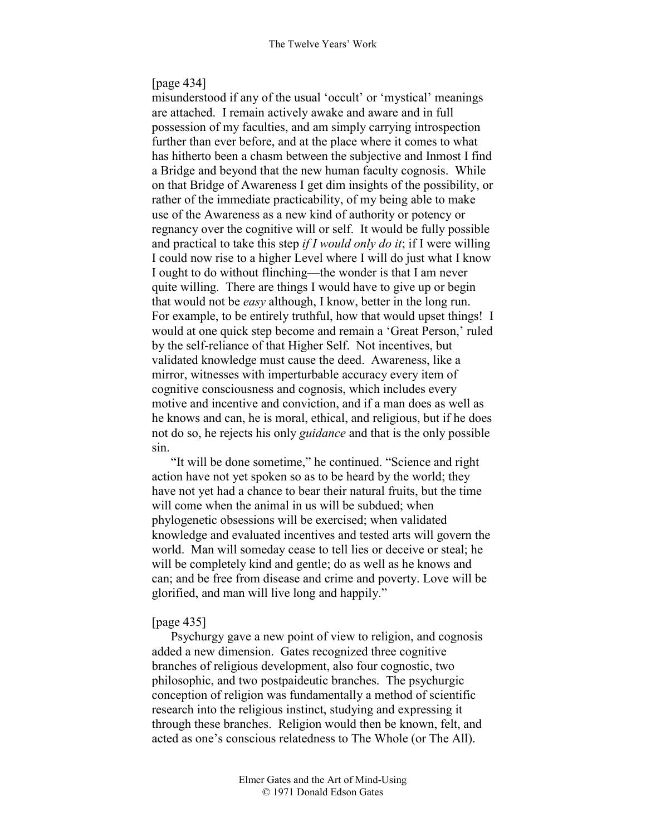#### [page 434]

misunderstood if any of the usual 'occult' or 'mystical' meanings are attached. I remain actively awake and aware and in full possession of my faculties, and am simply carrying introspection further than ever before, and at the place where it comes to what has hitherto been a chasm between the subjective and Inmost I find a Bridge and beyond that the new human faculty cognosis. While on that Bridge of Awareness I get dim insights of the possibility, or rather of the immediate practicability, of my being able to make use of the Awareness as a new kind of authority or potency or regnancy over the cognitive will or self. It would be fully possible and practical to take this step *if I would only do it*; if I were willing I could now rise to a higher Level where I will do just what I know I ought to do without flinching—the wonder is that I am never quite willing. There are things I would have to give up or begin that would not be *easy* although, I know, better in the long run. For example, to be entirely truthful, how that would upset things! I would at one quick step become and remain a 'Great Person,' ruled by the self-reliance of that Higher Self. Not incentives, but validated knowledge must cause the deed. Awareness, like a mirror, witnesses with imperturbable accuracy every item of cognitive consciousness and cognosis, which includes every motive and incentive and conviction, and if a man does as well as he knows and can, he is moral, ethical, and religious, but if he does not do so, he rejects his only *guidance* and that is the only possible sin.

"It will be done sometime," he continued. "Science and right action have not yet spoken so as to be heard by the world; they have not yet had a chance to bear their natural fruits, but the time will come when the animal in us will be subdued; when phylogenetic obsessions will be exercised; when validated knowledge and evaluated incentives and tested arts will govern the world. Man will someday cease to tell lies or deceive or steal; he will be completely kind and gentle; do as well as he knows and can; and be free from disease and crime and poverty. Love will be glorified, and man will live long and happily."

#### [page 435]

Psychurgy gave a new point of view to religion, and cognosis added a new dimension. Gates recognized three cognitive branches of religious development, also four cognostic, two philosophic, and two postpaideutic branches. The psychurgic conception of religion was fundamentally a method of scientific research into the religious instinct, studying and expressing it through these branches. Religion would then be known, felt, and acted as one's conscious relatedness to The Whole (or The All).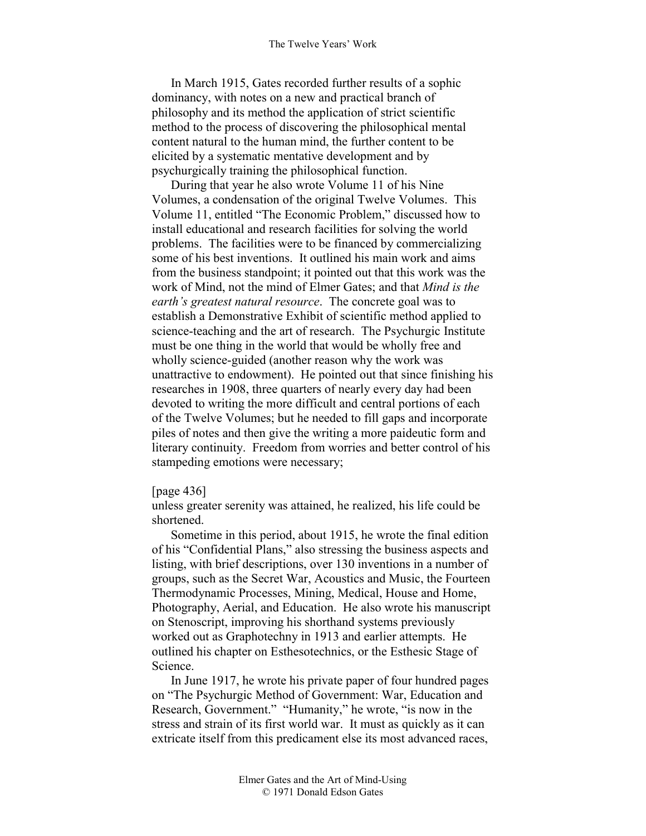In March 1915, Gates recorded further results of a sophic dominancy, with notes on a new and practical branch of philosophy and its method the application of strict scientific method to the process of discovering the philosophical mental content natural to the human mind, the further content to be elicited by a systematic mentative development and by psychurgically training the philosophical function.

During that year he also wrote Volume 11 of his Nine Volumes, a condensation of the original Twelve Volumes. This Volume 11, entitled "The Economic Problem," discussed how to install educational and research facilities for solving the world problems. The facilities were to be financed by commercializing some of his best inventions. It outlined his main work and aims from the business standpoint; it pointed out that this work was the work of Mind, not the mind of Elmer Gates; and that *Mind is the earth's greatest natural resource*. The concrete goal was to establish a Demonstrative Exhibit of scientific method applied to science-teaching and the art of research. The Psychurgic Institute must be one thing in the world that would be wholly free and wholly science-guided (another reason why the work was unattractive to endowment). He pointed out that since finishing his researches in 1908, three quarters of nearly every day had been devoted to writing the more difficult and central portions of each of the Twelve Volumes; but he needed to fill gaps and incorporate piles of notes and then give the writing a more paideutic form and literary continuity. Freedom from worries and better control of his stampeding emotions were necessary;

#### [page 436]

unless greater serenity was attained, he realized, his life could be shortened.

Sometime in this period, about 1915, he wrote the final edition of his "Confidential Plans," also stressing the business aspects and listing, with brief descriptions, over 130 inventions in a number of groups, such as the Secret War, Acoustics and Music, the Fourteen Thermodynamic Processes, Mining, Medical, House and Home, Photography, Aerial, and Education. He also wrote his manuscript on Stenoscript, improving his shorthand systems previously worked out as Graphotechny in 1913 and earlier attempts. He outlined his chapter on Esthesotechnics, or the Esthesic Stage of Science.

In June 1917, he wrote his private paper of four hundred pages on "The Psychurgic Method of Government: War, Education and Research, Government." "Humanity," he wrote, "is now in the stress and strain of its first world war. It must as quickly as it can extricate itself from this predicament else its most advanced races,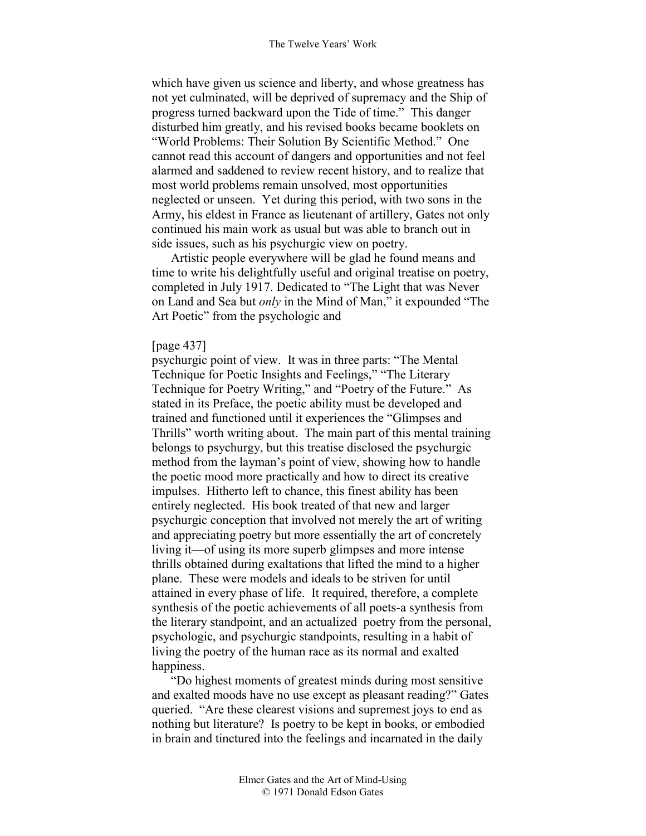which have given us science and liberty, and whose greatness has not yet culminated, will be deprived of supremacy and the Ship of progress turned backward upon the Tide of time." This danger disturbed him greatly, and his revised books became booklets on "World Problems: Their Solution By Scientific Method." One cannot read this account of dangers and opportunities and not feel alarmed and saddened to review recent history, and to realize that most world problems remain unsolved, most opportunities neglected or unseen. Yet during this period, with two sons in the Army, his eldest in France as lieutenant of artillery, Gates not only continued his main work as usual but was able to branch out in side issues, such as his psychurgic view on poetry.

Artistic people everywhere will be glad he found means and time to write his delightfully useful and original treatise on poetry, completed in July 1917. Dedicated to "The Light that was Never on Land and Sea but *only* in the Mind of Man," it expounded "The Art Poetic" from the psychologic and

### [page 437]

psychurgic point of view. It was in three parts: "The Mental Technique for Poetic Insights and Feelings," "The Literary Technique for Poetry Writing," and "Poetry of the Future." As stated in its Preface, the poetic ability must be developed and trained and functioned until it experiences the "Glimpses and Thrills" worth writing about. The main part of this mental training belongs to psychurgy, but this treatise disclosed the psychurgic method from the layman's point of view, showing how to handle the poetic mood more practically and how to direct its creative impulses. Hitherto left to chance, this finest ability has been entirely neglected. His book treated of that new and larger psychurgic conception that involved not merely the art of writing and appreciating poetry but more essentially the art of concretely living it—of using its more superb glimpses and more intense thrills obtained during exaltations that lifted the mind to a higher plane. These were models and ideals to be striven for until attained in every phase of life. It required, therefore, a complete synthesis of the poetic achievements of all poets-a synthesis from the literary standpoint, and an actualized poetry from the personal, psychologic, and psychurgic standpoints, resulting in a habit of living the poetry of the human race as its normal and exalted happiness.

"Do highest moments of greatest minds during most sensitive and exalted moods have no use except as pleasant reading?" Gates queried. "Are these clearest visions and supremest joys to end as nothing but literature? Is poetry to be kept in books, or embodied in brain and tinctured into the feelings and incarnated in the daily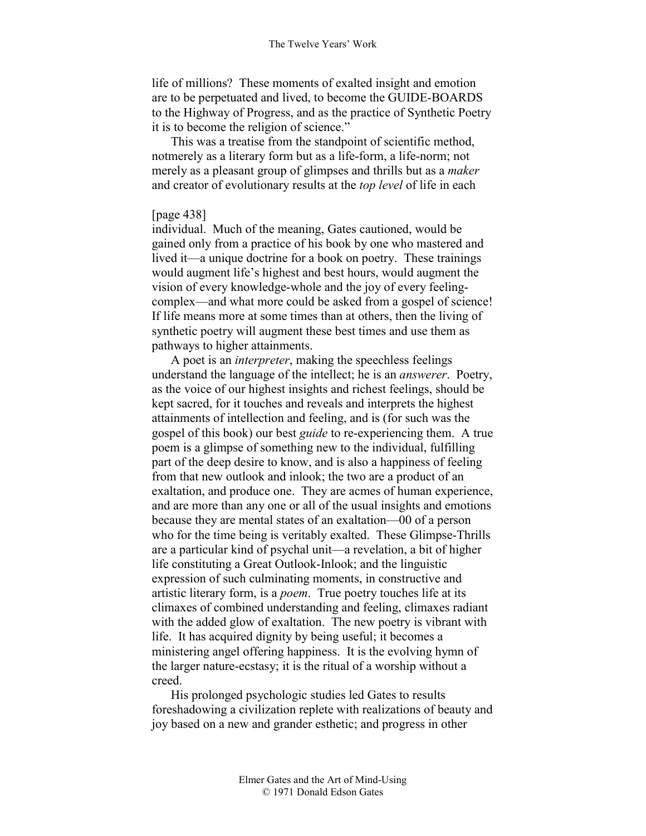life of millions? These moments of exalted insight and emotion are to be perpetuated and lived, to become the GUIDE-BOARDS to the Highway of Progress, and as the practice of Synthetic Poetry it is to become the religion of science."

This was a treatise from the standpoint of scientific method, notmerely as a literary form but as a life-form, a life-norm; not merely as a pleasant group of glimpses and thrills but as a *maker* and creator of evolutionary results at the *top level* of life in each

### [page 438]

individual. Much of the meaning, Gates cautioned, would be gained only from a practice of his book by one who mastered and lived it—a unique doctrine for a book on poetry. These trainings would augment life's highest and best hours, would augment the vision of every knowledge-whole and the joy of every feelingcomplex—and what more could be asked from a gospel of science! If life means more at some times than at others, then the living of synthetic poetry will augment these best times and use them as pathways to higher attainments.

A poet is an *interpreter*, making the speechless feelings understand the language of the intellect; he is an *answerer*. Poetry, as the voice of our highest insights and richest feelings, should be kept sacred, for it touches and reveals and interprets the highest attainments of intellection and feeling, and is (for such was the gospel of this book) our best *guide* to re-experiencing them. A true poem is a glimpse of something new to the individual, fulfilling part of the deep desire to know, and is also a happiness of feeling from that new outlook and inlook; the two are a product of an exaltation, and produce one. They are acmes of human experience, and are more than any one or all of the usual insights and emotions because they are mental states of an exaltation—00 of a person who for the time being is veritably exalted. These Glimpse-Thrills are a particular kind of psychal unit—a revelation, a bit of higher life constituting a Great Outlook-Inlook; and the linguistic expression of such culminating moments, in constructive and artistic literary form, is a *poem*. True poetry touches life at its climaxes of combined understanding and feeling, climaxes radiant with the added glow of exaltation. The new poetry is vibrant with life. It has acquired dignity by being useful; it becomes a ministering angel offering happiness. It is the evolving hymn of the larger nature-ecstasy; it is the ritual of a worship without a creed.

His prolonged psychologic studies led Gates to results foreshadowing a civilization replete with realizations of beauty and joy based on a new and grander esthetic; and progress in other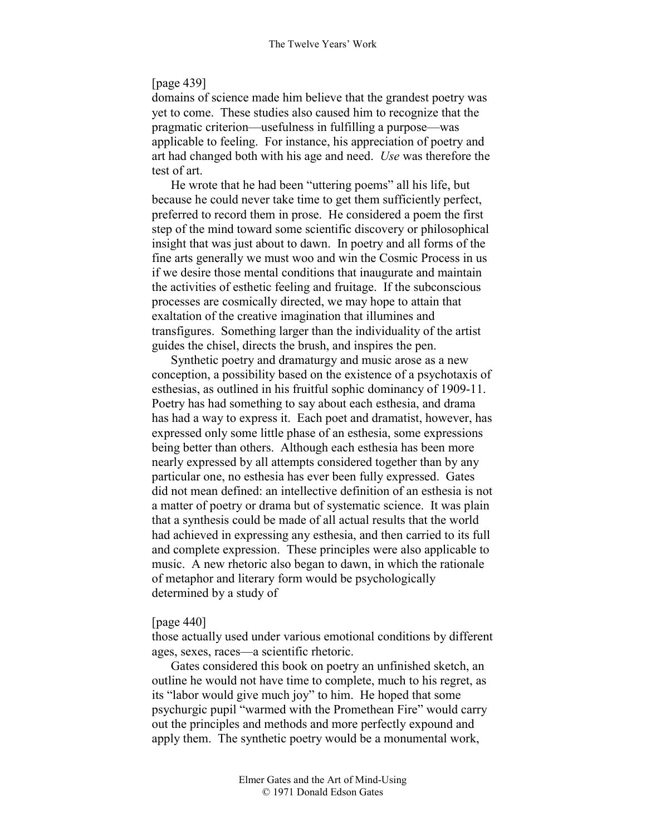### [page 439]

domains of science made him believe that the grandest poetry was yet to come. These studies also caused him to recognize that the pragmatic criterion—usefulness in fulfilling a purpose—was applicable to feeling. For instance, his appreciation of poetry and art had changed both with his age and need. *Use* was therefore the test of art.

He wrote that he had been "uttering poems" all his life, but because he could never take time to get them sufficiently perfect, preferred to record them in prose. He considered a poem the first step of the mind toward some scientific discovery or philosophical insight that was just about to dawn. In poetry and all forms of the fine arts generally we must woo and win the Cosmic Process in us if we desire those mental conditions that inaugurate and maintain the activities of esthetic feeling and fruitage. If the subconscious processes are cosmically directed, we may hope to attain that exaltation of the creative imagination that illumines and transfigures. Something larger than the individuality of the artist guides the chisel, directs the brush, and inspires the pen.

Synthetic poetry and dramaturgy and music arose as a new conception, a possibility based on the existence of a psychotaxis of esthesias, as outlined in his fruitful sophic dominancy of 1909-11. Poetry has had something to say about each esthesia, and drama has had a way to express it. Each poet and dramatist, however, has expressed only some little phase of an esthesia, some expressions being better than others. Although each esthesia has been more nearly expressed by all attempts considered together than by any particular one, no esthesia has ever been fully expressed. Gates did not mean defined: an intellective definition of an esthesia is not a matter of poetry or drama but of systematic science. It was plain that a synthesis could be made of all actual results that the world had achieved in expressing any esthesia, and then carried to its full and complete expression. These principles were also applicable to music. A new rhetoric also began to dawn, in which the rationale of metaphor and literary form would be psychologically determined by a study of

#### [page 440]

those actually used under various emotional conditions by different ages, sexes, races—a scientific rhetoric.

Gates considered this book on poetry an unfinished sketch, an outline he would not have time to complete, much to his regret, as its "labor would give much joy" to him. He hoped that some psychurgic pupil "warmed with the Promethean Fire" would carry out the principles and methods and more perfectly expound and apply them. The synthetic poetry would be a monumental work,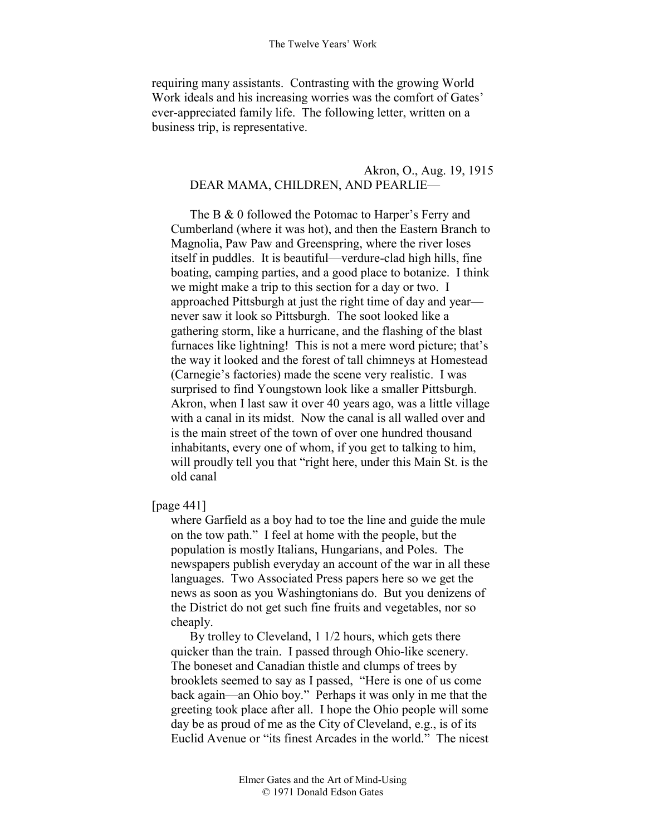requiring many assistants. Contrasting with the growing World Work ideals and his increasing worries was the comfort of Gates' ever-appreciated family life. The following letter, written on a business trip, is representative.

## Akron, O., Aug. 19, 1915 DEAR MAMA, CHILDREN, AND PEARLIE—

The B & 0 followed the Potomac to Harper's Ferry and Cumberland (where it was hot), and then the Eastern Branch to Magnolia, Paw Paw and Greenspring, where the river loses itself in puddles. It is beautiful—verdure-clad high hills, fine boating, camping parties, and a good place to botanize. I think we might make a trip to this section for a day or two. I approached Pittsburgh at just the right time of day and year never saw it look so Pittsburgh. The soot looked like a gathering storm, like a hurricane, and the flashing of the blast furnaces like lightning! This is not a mere word picture; that's the way it looked and the forest of tall chimneys at Homestead (Carnegie's factories) made the scene very realistic. I was surprised to find Youngstown look like a smaller Pittsburgh. Akron, when I last saw it over 40 years ago, was a little village with a canal in its midst. Now the canal is all walled over and is the main street of the town of over one hundred thousand inhabitants, every one of whom, if you get to talking to him, will proudly tell you that "right here, under this Main St. is the old canal

# [page 441]

where Garfield as a boy had to toe the line and guide the mule on the tow path." I feel at home with the people, but the population is mostly Italians, Hungarians, and Poles. The newspapers publish everyday an account of the war in all these languages. Two Associated Press papers here so we get the news as soon as you Washingtonians do. But you denizens of the District do not get such fine fruits and vegetables, nor so cheaply.

By trolley to Cleveland, 1 1/2 hours, which gets there quicker than the train. I passed through Ohio-like scenery. The boneset and Canadian thistle and clumps of trees by brooklets seemed to say as I passed, "Here is one of us come back again—an Ohio boy." Perhaps it was only in me that the greeting took place after all. I hope the Ohio people will some day be as proud of me as the City of Cleveland, e.g., is of its Euclid Avenue or "its finest Arcades in the world." The nicest